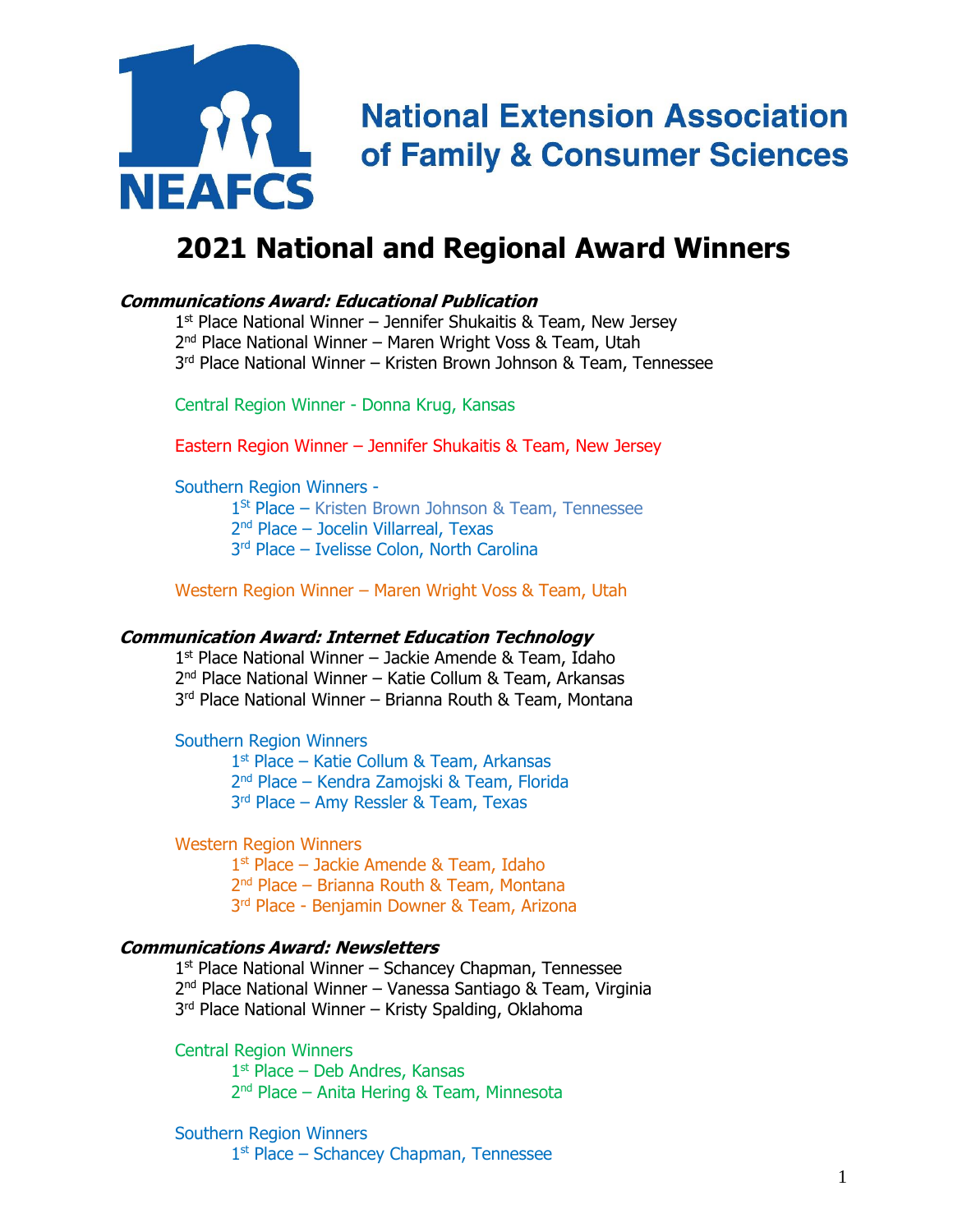

## **2021 National and Regional Award Winners**

### **Communications Award: Educational Publication**

1<sup>st</sup> Place National Winner – Jennifer Shukaitis & Team, New Jersey 2<sup>nd</sup> Place National Winner – Maren Wright Voss & Team, Utah 3 rd Place National Winner – Kristen Brown Johnson & Team, Tennessee

Central Region Winner - Donna Krug, Kansas

Eastern Region Winner – Jennifer Shukaitis & Team, New Jersey

Southern Region Winners -

1 St Place – Kristen Brown Johnson & Team, Tennessee 2<sup>nd</sup> Place - Jocelin Villarreal, Texas 3 rd Place – Ivelisse Colon, North Carolina

Western Region Winner – Maren Wright Voss & Team, Utah

#### **Communication Award: Internet Education Technology**

1 st Place National Winner – Jackie Amende & Team, Idaho 2 nd Place National Winner – Katie Collum & Team, Arkansas 3 rd Place National Winner – Brianna Routh & Team, Montana

Southern Region Winners

1 st Place – Katie Collum & Team, Arkansas 2 nd Place – Kendra Zamojski & Team, Florida 3 rd Place – Amy Ressler & Team, Texas

Western Region Winners

1 st Place – Jackie Amende & Team, Idaho 2<sup>nd</sup> Place – Brianna Routh & Team, Montana 3<sup>rd</sup> Place - Benjamin Downer & Team, Arizona

#### **Communications Award: Newsletters**

1<sup>st</sup> Place National Winner – Schancey Chapman, Tennessee 2<sup>nd</sup> Place National Winner – Vanessa Santiago & Team, Virginia 3 rd Place National Winner – Kristy Spalding, Oklahoma

Central Region Winners

1 st Place – Deb Andres, Kansas 2 nd Place – Anita Hering & Team, Minnesota

Southern Region Winners 1<sup>st</sup> Place - Schancey Chapman, Tennessee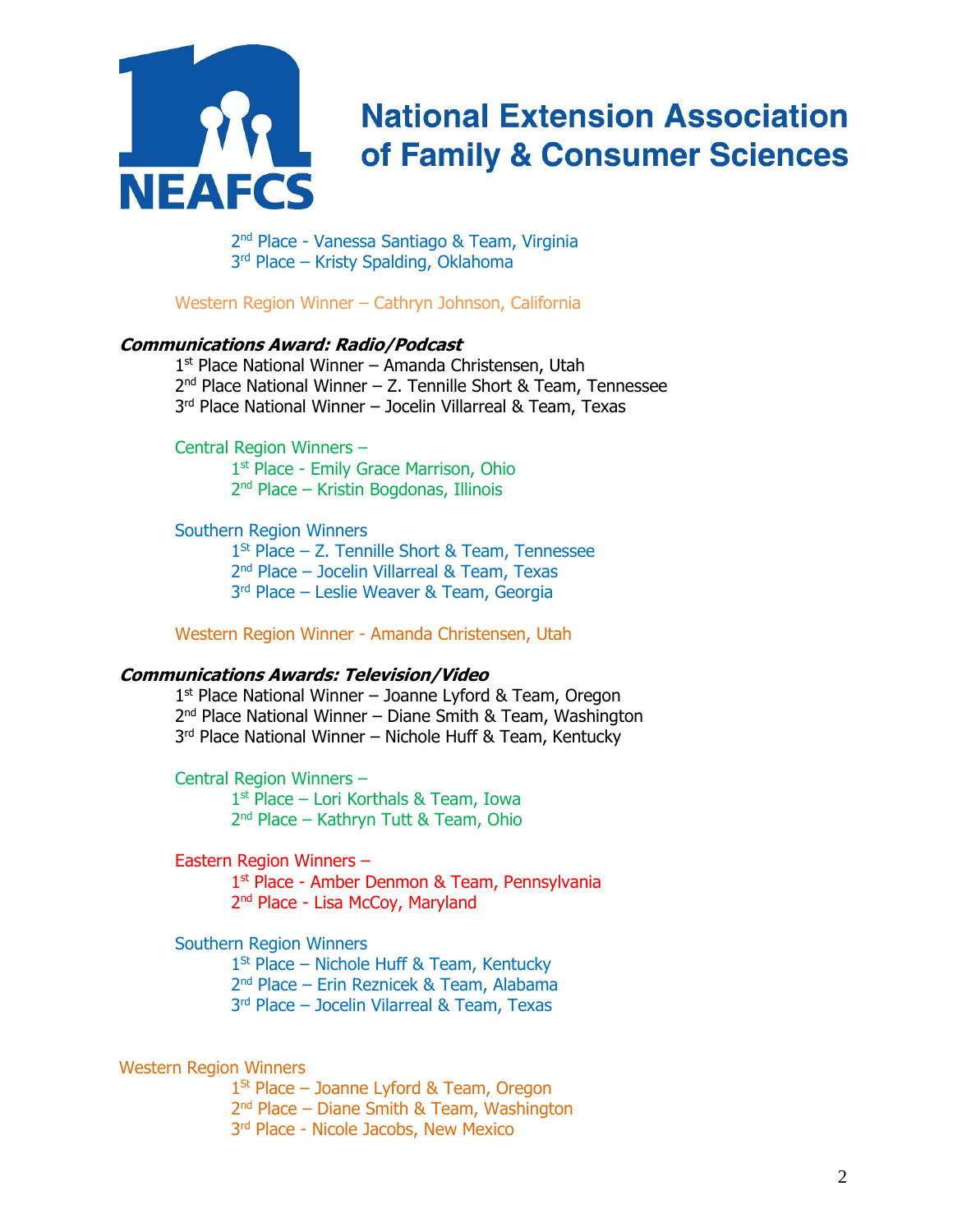

2 nd Place - Vanessa Santiago & Team, Virginia 3<sup>rd</sup> Place – Kristy Spalding, Oklahoma

Western Region Winner – Cathryn Johnson, California

#### **Communications Award: Radio/Podcast**

1 st Place National Winner – Amanda Christensen, Utah 2 nd Place National Winner – Z. Tennille Short & Team, Tennessee 3 rd Place National Winner – Jocelin Villarreal & Team, Texas

Central Region Winners –

1<sup>st</sup> Place - Emily Grace Marrison, Ohio 2 nd Place – Kristin Bogdonas, Illinois

Southern Region Winners

1 St Place – Z. Tennille Short & Team, Tennessee 2 nd Place – Jocelin Villarreal & Team, Texas

3 rd Place – Leslie Weaver & Team, Georgia

Western Region Winner - Amanda Christensen, Utah

#### **Communications Awards: Television/Video**

1<sup>st</sup> Place National Winner - Joanne Lyford & Team, Oregon 2<sup>nd</sup> Place National Winner - Diane Smith & Team, Washington 3<sup>rd</sup> Place National Winner – Nichole Huff & Team, Kentucky

Central Region Winners – 1 st Place – Lori Korthals & Team, Iowa 2<sup>nd</sup> Place – Kathryn Tutt & Team, Ohio

Eastern Region Winners –

1<sup>st</sup> Place - Amber Denmon & Team, Pennsylvania 2<sup>nd</sup> Place - Lisa McCoy, Maryland

Southern Region Winners

1<sup>St</sup> Place – Nichole Huff & Team, Kentucky

2 nd Place – Erin Reznicek & Team, Alabama

3 rd Place – Jocelin Vilarreal & Team, Texas

#### Western Region Winners

1<sup>St</sup> Place – Joanne Lyford & Team, Oregon 2<sup>nd</sup> Place – Diane Smith & Team, Washington 3<sup>rd</sup> Place - Nicole Jacobs, New Mexico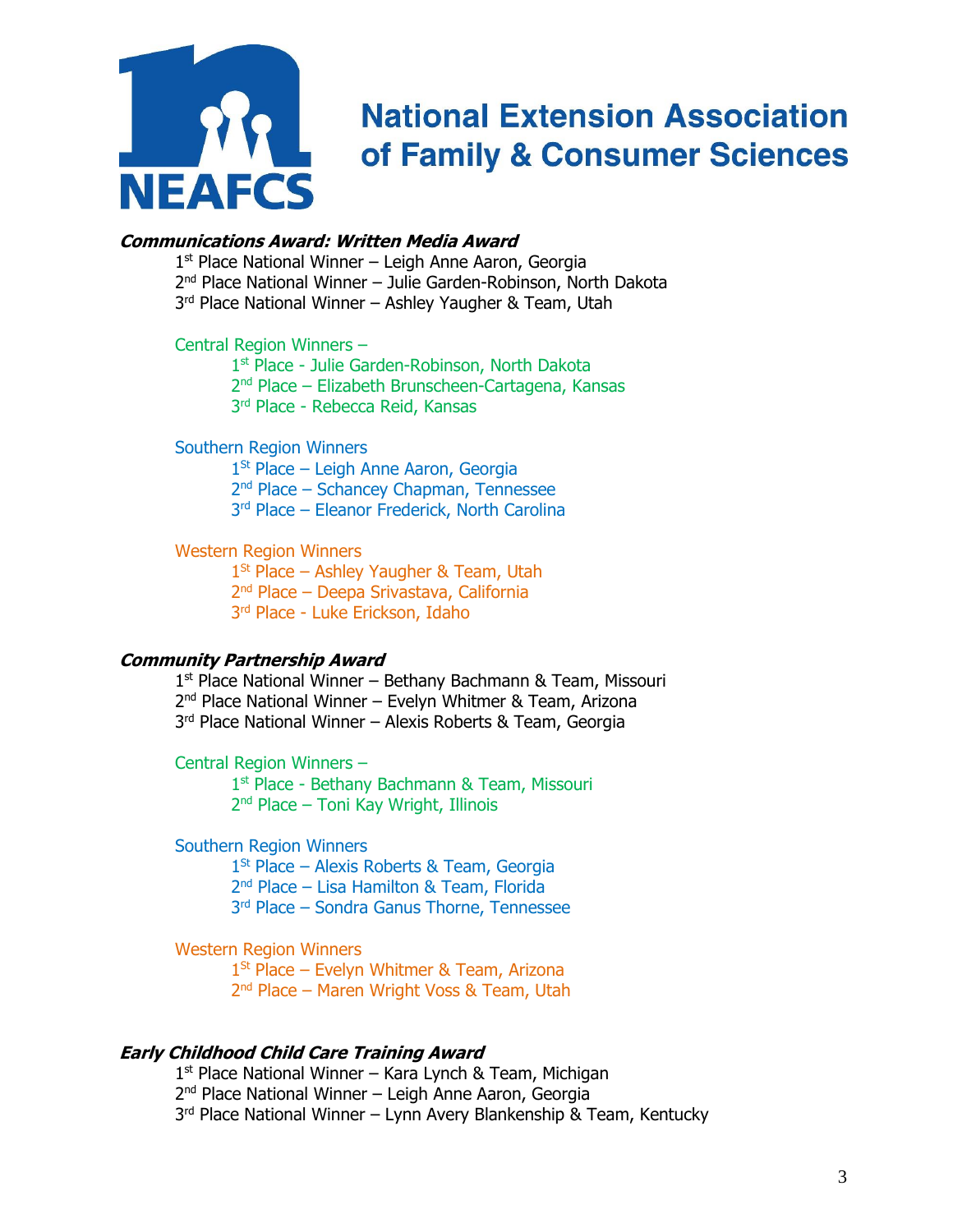

### **Communications Award: Written Media Award**

1<sup>st</sup> Place National Winner - Leigh Anne Aaron, Georgia

2 nd Place National Winner – Julie Garden-Robinson, North Dakota

3<sup>rd</sup> Place National Winner - Ashley Yaugher & Team, Utah

#### Central Region Winners –

1<sup>st</sup> Place - Julie Garden-Robinson, North Dakota

2<sup>nd</sup> Place – Elizabeth Brunscheen-Cartagena, Kansas

3 rd Place - Rebecca Reid, Kansas

#### Southern Region Winners

1<sup>St</sup> Place – Leigh Anne Aaron, Georgia

2 nd Place – Schancey Chapman, Tennessee

3 rd Place – Eleanor Frederick, North Carolina

#### Western Region Winners

 $1<sup>St</sup>$  Place – Ashley Yaugher & Team, Utah 2 nd Place – Deepa Srivastava, California 3<sup>rd</sup> Place - Luke Erickson, Idaho

#### **Community Partnership Award**

1 st Place National Winner – Bethany Bachmann & Team, Missouri 2 nd Place National Winner – Evelyn Whitmer & Team, Arizona 3<sup>rd</sup> Place National Winner - Alexis Roberts & Team, Georgia

Central Region Winners –

1<sup>st</sup> Place - Bethany Bachmann & Team, Missouri 2<sup>nd</sup> Place – Toni Kay Wright, Illinois

Southern Region Winners

1 St Place – Alexis Roberts & Team, Georgia 2 nd Place – Lisa Hamilton & Team, Florida 3 rd Place – Sondra Ganus Thorne, Tennessee

Western Region Winners

1<sup>St</sup> Place – Evelyn Whitmer & Team, Arizona 2<sup>nd</sup> Place – Maren Wright Voss & Team, Utah

#### **Early Childhood Child Care Training Award**

1 st Place National Winner – Kara Lynch & Team, Michigan

2<sup>nd</sup> Place National Winner – Leigh Anne Aaron, Georgia

3<sup>rd</sup> Place National Winner – Lynn Avery Blankenship & Team, Kentucky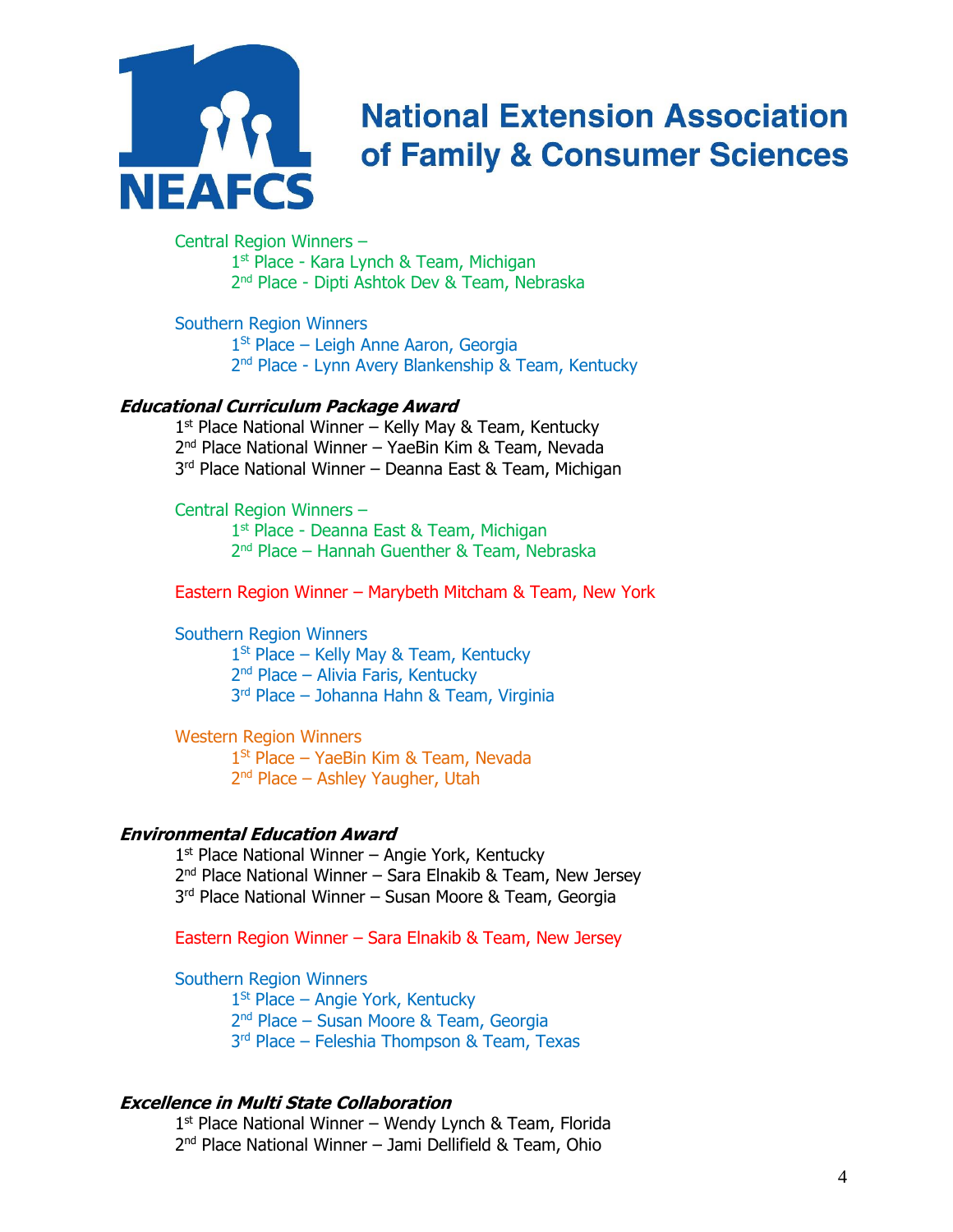

Central Region Winners – 1<sup>st</sup> Place - Kara Lynch & Team, Michigan 2 nd Place - Dipti Ashtok Dev & Team, Nebraska

Southern Region Winners

1<sup>St</sup> Place – Leigh Anne Aaron, Georgia 2<sup>nd</sup> Place - Lynn Avery Blankenship & Team, Kentucky

#### **Educational Curriculum Package Award**

1<sup>st</sup> Place National Winner - Kelly May & Team, Kentucky 2 nd Place National Winner – YaeBin Kim & Team, Nevada 3<sup>rd</sup> Place National Winner – Deanna East & Team, Michigan

Central Region Winners –

1<sup>st</sup> Place - Deanna East & Team, Michigan 2 nd Place – Hannah Guenther & Team, Nebraska

Eastern Region Winner – Marybeth Mitcham & Team, New York

Southern Region Winners

1<sup>St</sup> Place – Kelly May & Team, Kentucky 2<sup>nd</sup> Place – Alivia Faris, Kentucky 3 rd Place – Johanna Hahn & Team, Virginia

Western Region Winners

1<sup>St</sup> Place - YaeBin Kim & Team, Nevada 2<sup>nd</sup> Place – Ashley Yaugher, Utah

#### **Environmental Education Award**

1<sup>st</sup> Place National Winner – Angie York, Kentucky 2<sup>nd</sup> Place National Winner – Sara Elnakib & Team, New Jersey 3<sup>rd</sup> Place National Winner - Susan Moore & Team, Georgia

Eastern Region Winner – Sara Elnakib & Team, New Jersey

Southern Region Winners

1<sup>St</sup> Place – Angie York, Kentucky 2 nd Place – Susan Moore & Team, Georgia 3 rd Place – Feleshia Thompson & Team, Texas

#### **Excellence in Multi State Collaboration**

1 st Place National Winner – Wendy Lynch & Team, Florida 2<sup>nd</sup> Place National Winner - Jami Dellifield & Team, Ohio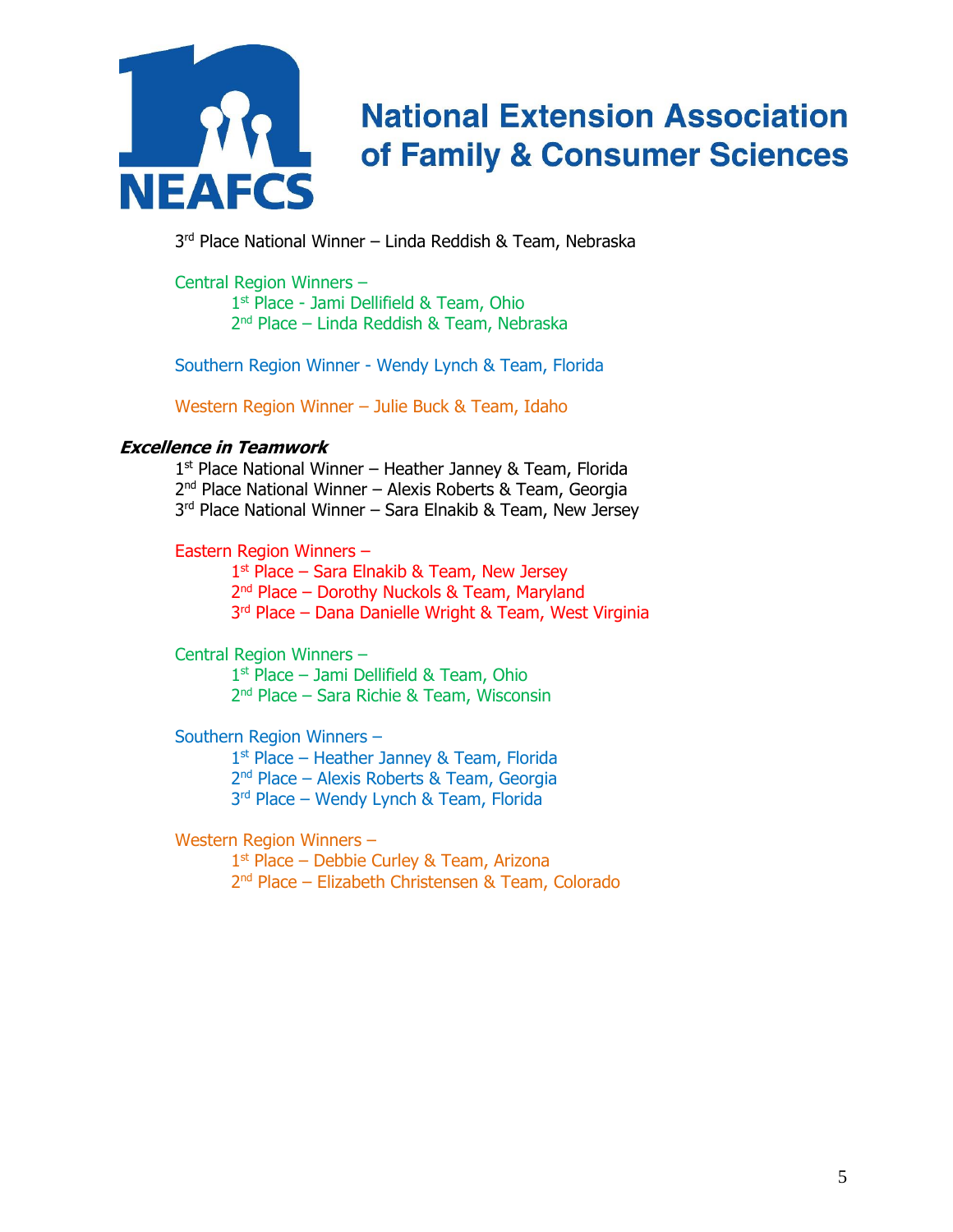

3 rd Place National Winner – Linda Reddish & Team, Nebraska

Central Region Winners –

1<sup>st</sup> Place - Jami Dellifield & Team, Ohio 2 nd Place – Linda Reddish & Team, Nebraska

Southern Region Winner - Wendy Lynch & Team, Florida

Western Region Winner – Julie Buck & Team, Idaho

### **Excellence in Teamwork**

1<sup>st</sup> Place National Winner - Heather Janney & Team, Florida 2 nd Place National Winner – Alexis Roberts & Team, Georgia 3<sup>rd</sup> Place National Winner – Sara Elnakib & Team, New Jersey

### Eastern Region Winners –

1<sup>st</sup> Place – Sara Elnakib & Team, New Jersey 2<sup>nd</sup> Place – Dorothy Nuckols & Team, Maryland 3<sup>rd</sup> Place – Dana Danielle Wright & Team, West Virginia

Central Region Winners –

1 st Place – Jami Dellifield & Team, Ohio 2 nd Place – Sara Richie & Team, Wisconsin

Southern Region Winners –

1<sup>st</sup> Place - Heather Janney & Team, Florida 2 nd Place – Alexis Roberts & Team, Georgia 3 rd Place – Wendy Lynch & Team, Florida

Western Region Winners –

1<sup>st</sup> Place – Debbie Curley & Team, Arizona 2 nd Place – Elizabeth Christensen & Team, Colorado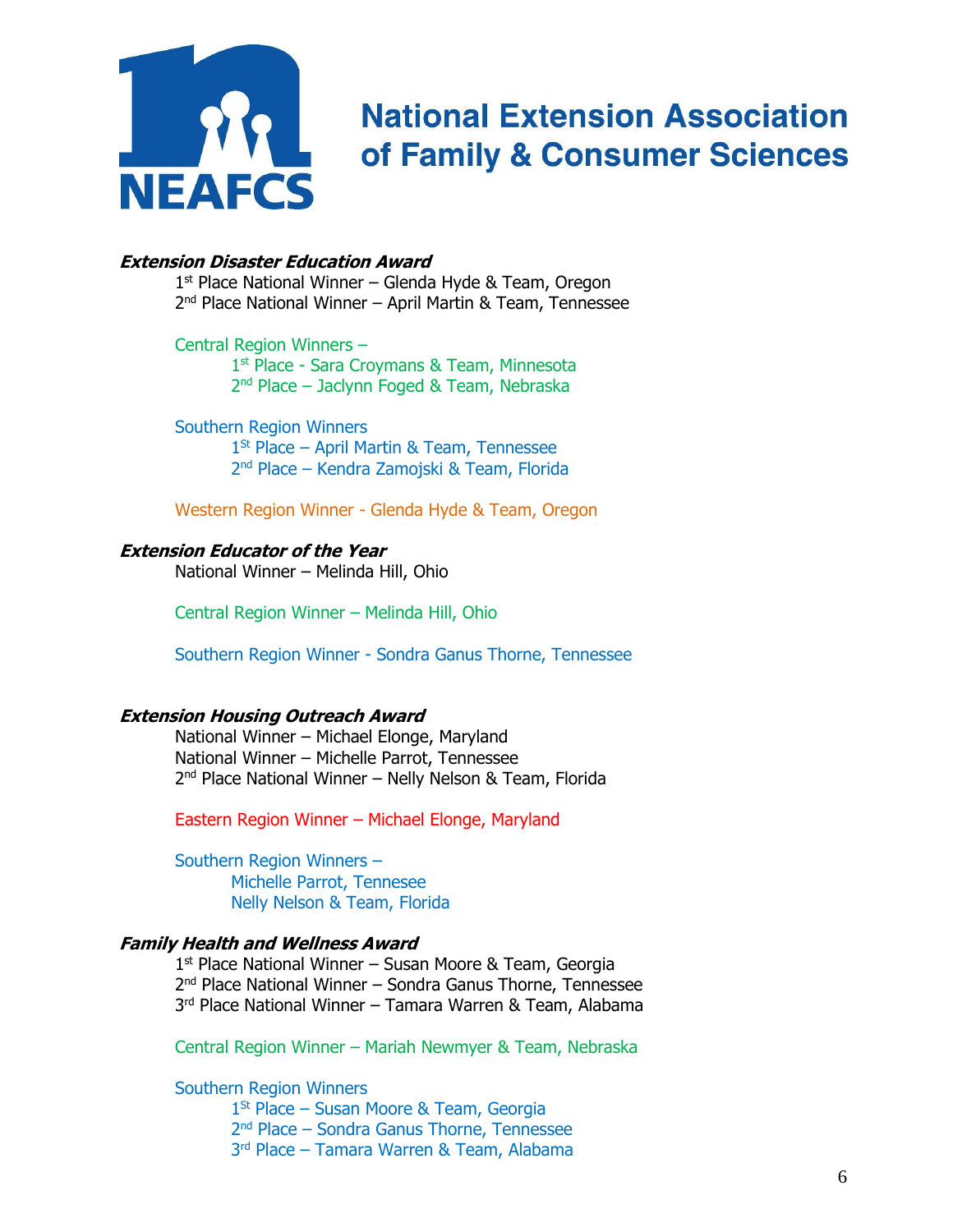

#### **Extension Disaster Education Award**

1 st Place National Winner – Glenda Hyde & Team, Oregon 2<sup>nd</sup> Place National Winner - April Martin & Team, Tennessee

Central Region Winners – 1<sup>st</sup> Place - Sara Croymans & Team, Minnesota 2 nd Place – Jaclynn Foged & Team, Nebraska

Southern Region Winners 1<sup>St</sup> Place – April Martin & Team, Tennessee 2 nd Place – Kendra Zamojski & Team, Florida

Western Region Winner - Glenda Hyde & Team, Oregon

#### **Extension Educator of the Year**

National Winner – Melinda Hill, Ohio

Central Region Winner – Melinda Hill, Ohio

Southern Region Winner - Sondra Ganus Thorne, Tennessee

#### **Extension Housing Outreach Award**

National Winner – Michael Elonge, Maryland National Winner – Michelle Parrot, Tennessee 2<sup>nd</sup> Place National Winner - Nelly Nelson & Team, Florida

Eastern Region Winner – Michael Elonge, Maryland

Southern Region Winners – Michelle Parrot, Tennesee Nelly Nelson & Team, Florida

### **Family Health and Wellness Award**

1<sup>st</sup> Place National Winner - Susan Moore & Team, Georgia 2 nd Place National Winner – Sondra Ganus Thorne, Tennessee 3 rd Place National Winner – Tamara Warren & Team, Alabama

Central Region Winner – Mariah Newmyer & Team, Nebraska

Southern Region Winners

1<sup>St</sup> Place – Susan Moore & Team, Georgia

2<sup>nd</sup> Place – Sondra Ganus Thorne, Tennessee

3 rd Place – Tamara Warren & Team, Alabama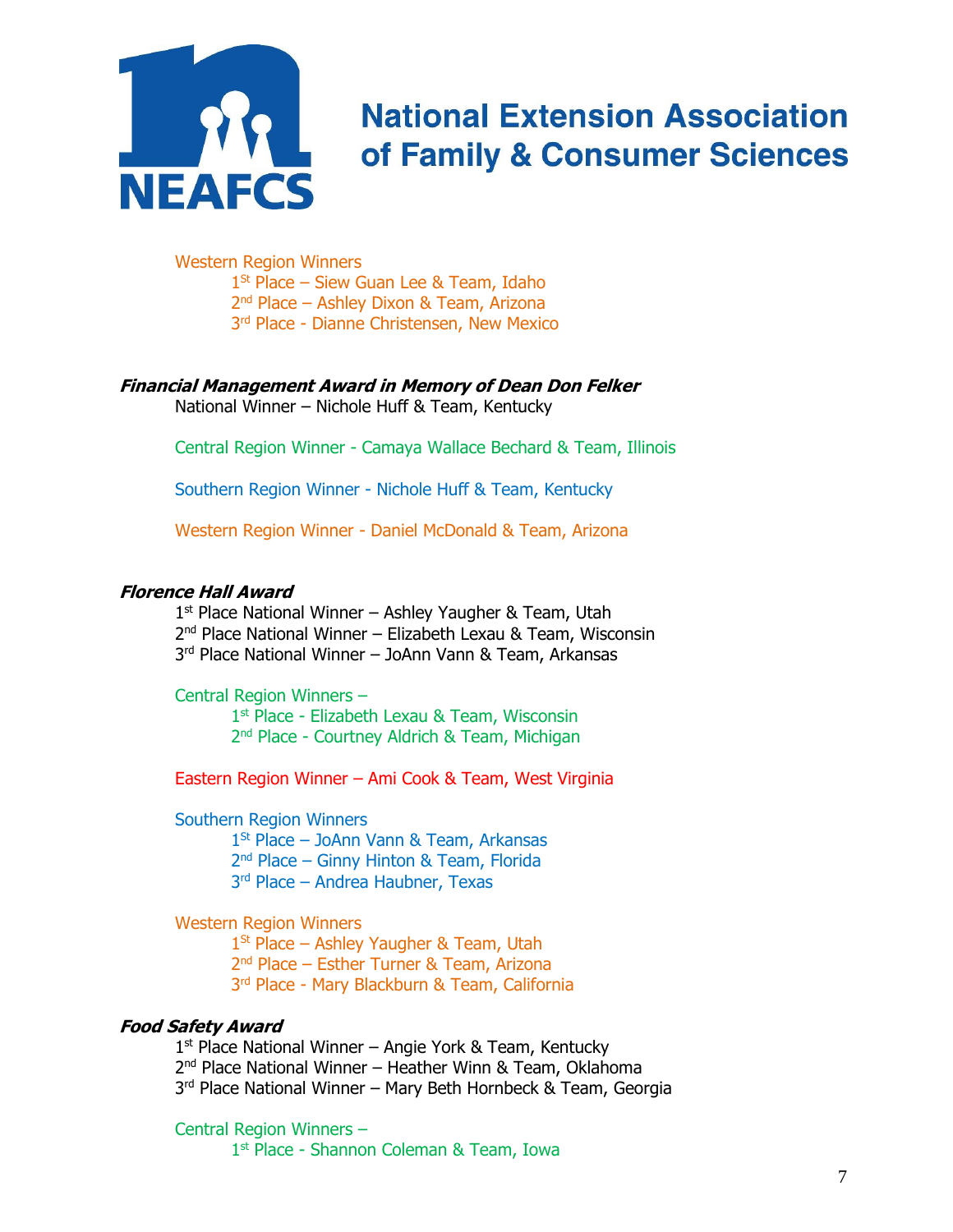

Western Region Winners

1 St Place – Siew Guan Lee & Team, Idaho 2<sup>nd</sup> Place – Ashley Dixon & Team, Arizona

3<sup>rd</sup> Place - Dianne Christensen, New Mexico

### **Financial Management Award in Memory of Dean Don Felker**

National Winner – Nichole Huff & Team, Kentucky

Central Region Winner - Camaya Wallace Bechard & Team, Illinois

Southern Region Winner - Nichole Huff & Team, Kentucky

Western Region Winner - Daniel McDonald & Team, Arizona

#### **Florence Hall Award**

1<sup>st</sup> Place National Winner - Ashley Yaugher & Team, Utah 2<sup>nd</sup> Place National Winner – Elizabeth Lexau & Team, Wisconsin 3 rd Place National Winner – JoAnn Vann & Team, Arkansas

Central Region Winners –

1<sup>st</sup> Place - Elizabeth Lexau & Team, Wisconsin 2<sup>nd</sup> Place - Courtney Aldrich & Team, Michigan

Eastern Region Winner – Ami Cook & Team, West Virginia

Southern Region Winners

1 St Place – JoAnn Vann & Team, Arkansas 2 nd Place – Ginny Hinton & Team, Florida 3 rd Place – Andrea Haubner, Texas

Western Region Winners

1<sup>St</sup> Place – Ashley Yaugher & Team, Utah 2 nd Place – Esther Turner & Team, Arizona 3 rd Place - Mary Blackburn & Team, California

### **Food Safety Award**

1 st Place National Winner – Angie York & Team, Kentucky 2<sup>nd</sup> Place National Winner - Heather Winn & Team, Oklahoma 3 rd Place National Winner – Mary Beth Hornbeck & Team, Georgia

Central Region Winners – 1 st Place - Shannon Coleman & Team, Iowa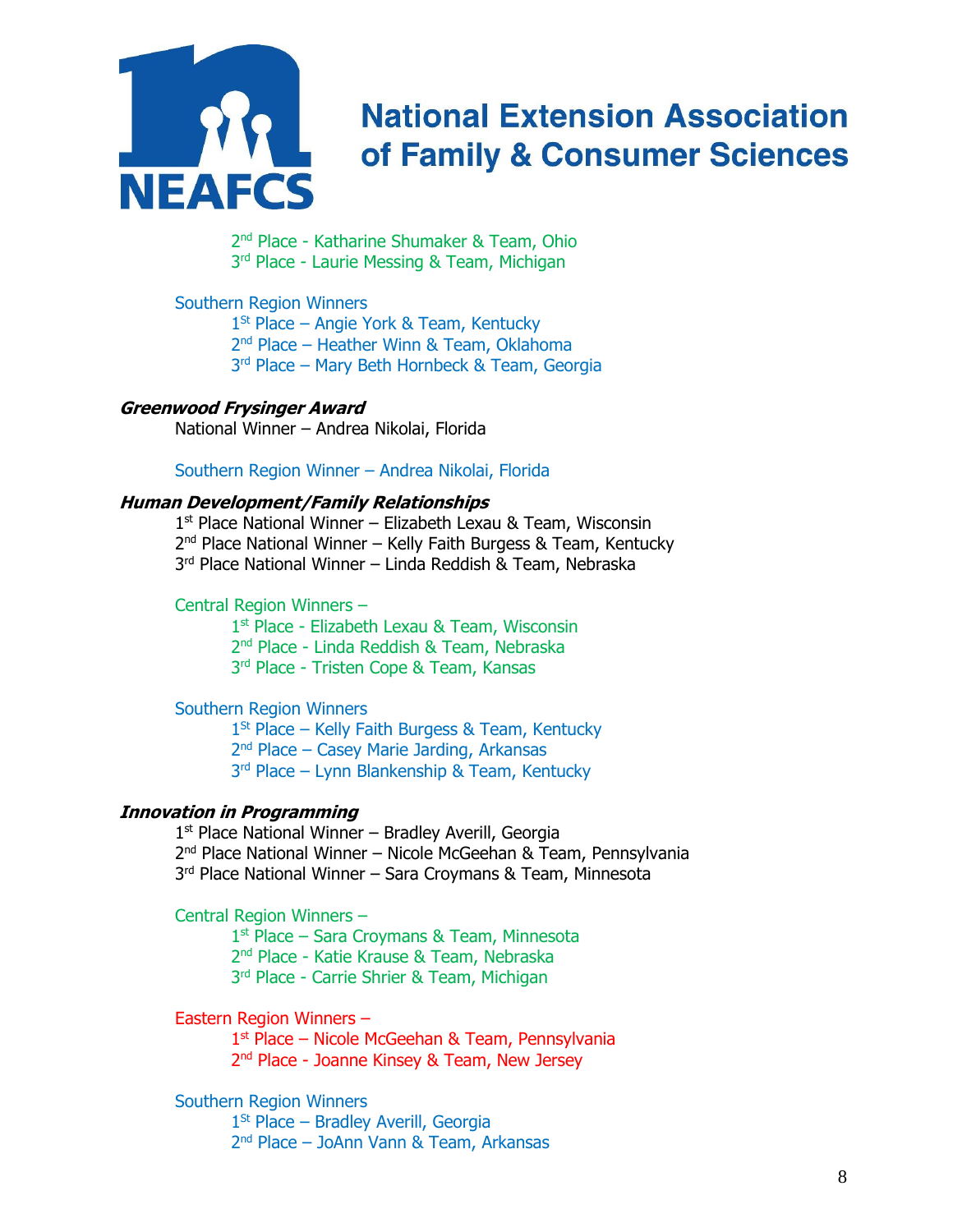

2 nd Place - Katharine Shumaker & Team, Ohio 3<sup>rd</sup> Place - Laurie Messing & Team, Michigan

#### Southern Region Winners

1<sup>St</sup> Place – Angie York & Team, Kentucky 2 nd Place – Heather Winn & Team, Oklahoma 3 rd Place – Mary Beth Hornbeck & Team, Georgia

#### **Greenwood Frysinger Award**

National Winner – Andrea Nikolai, Florida

### Southern Region Winner – Andrea Nikolai, Florida

#### **Human Development/Family Relationships**

1 st Place National Winner – Elizabeth Lexau & Team, Wisconsin 2<sup>nd</sup> Place National Winner – Kelly Faith Burgess & Team, Kentucky

3 rd Place National Winner – Linda Reddish & Team, Nebraska

#### Central Region Winners –

1 st Place - Elizabeth Lexau & Team, Wisconsin

2 nd Place - Linda Reddish & Team, Nebraska

3 rd Place - Tristen Cope & Team, Kansas

#### Southern Region Winners

1<sup>St</sup> Place – Kelly Faith Burgess & Team, Kentucky

2 nd Place – Casey Marie Jarding, Arkansas

3 rd Place – Lynn Blankenship & Team, Kentucky

#### **Innovation in Programming**

1 st Place National Winner – Bradley Averill, Georgia 2<sup>nd</sup> Place National Winner – Nicole McGeehan & Team, Pennsylvania 3 rd Place National Winner – Sara Croymans & Team, Minnesota

Central Region Winners –

1 st Place – Sara Croymans & Team, Minnesota

2 nd Place - Katie Krause & Team, Nebraska

3 rd Place - Carrie Shrier & Team, Michigan

Eastern Region Winners –

1 st Place – Nicole McGeehan & Team, Pennsylvania 2<sup>nd</sup> Place - Joanne Kinsey & Team, New Jersey

### Southern Region Winners

1<sup>St</sup> Place – Bradley Averill, Georgia 2 nd Place – JoAnn Vann & Team, Arkansas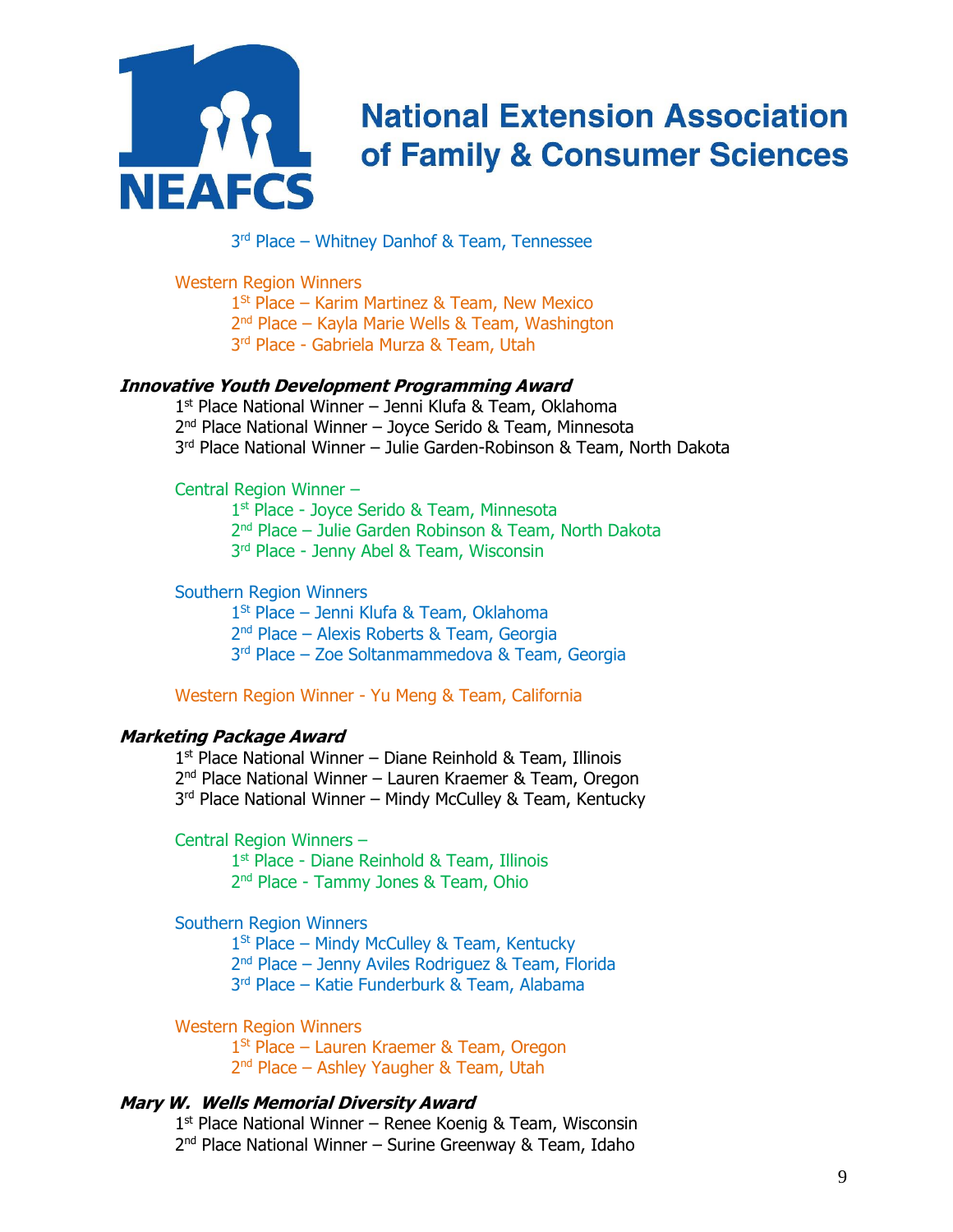

3 rd Place – Whitney Danhof & Team, Tennessee

Western Region Winners

1<sup>St</sup> Place – Karim Martinez & Team, New Mexico

2<sup>nd</sup> Place – Kayla Marie Wells & Team, Washington

3 rd Place - Gabriela Murza & Team, Utah

#### **Innovative Youth Development Programming Award**

1 st Place National Winner – Jenni Klufa & Team, Oklahoma 2<sup>nd</sup> Place National Winner - Joyce Serido & Team, Minnesota 3 rd Place National Winner – Julie Garden-Robinson & Team, North Dakota

#### Central Region Winner –

1<sup>st</sup> Place - Joyce Serido & Team, Minnesota 2 nd Place – Julie Garden Robinson & Team, North Dakota 3 rd Place - Jenny Abel & Team, Wisconsin

#### Southern Region Winners

1 St Place – Jenni Klufa & Team, Oklahoma 2 nd Place – Alexis Roberts & Team, Georgia 3 rd Place – Zoe Soltanmammedova & Team, Georgia

Western Region Winner - Yu Meng & Team, California

#### **Marketing Package Award**

1 st Place National Winner – Diane Reinhold & Team, Illinois 2<sup>nd</sup> Place National Winner - Lauren Kraemer & Team, Oregon 3<sup>rd</sup> Place National Winner – Mindy McCulley & Team, Kentucky

Central Region Winners –

1<sup>st</sup> Place - Diane Reinhold & Team, Illinois 2<sup>nd</sup> Place - Tammy Jones & Team, Ohio

### Southern Region Winners

1<sup>St</sup> Place – Mindy McCulley & Team, Kentucky

2<sup>nd</sup> Place – Jenny Aviles Rodriguez & Team, Florida

3 rd Place – Katie Funderburk & Team, Alabama

Western Region Winners

1 St Place – Lauren Kraemer & Team, Oregon 2<sup>nd</sup> Place – Ashley Yaugher & Team, Utah

#### **Mary W. Wells Memorial Diversity Award**

1 st Place National Winner – Renee Koenig & Team, Wisconsin 2<sup>nd</sup> Place National Winner - Surine Greenway & Team, Idaho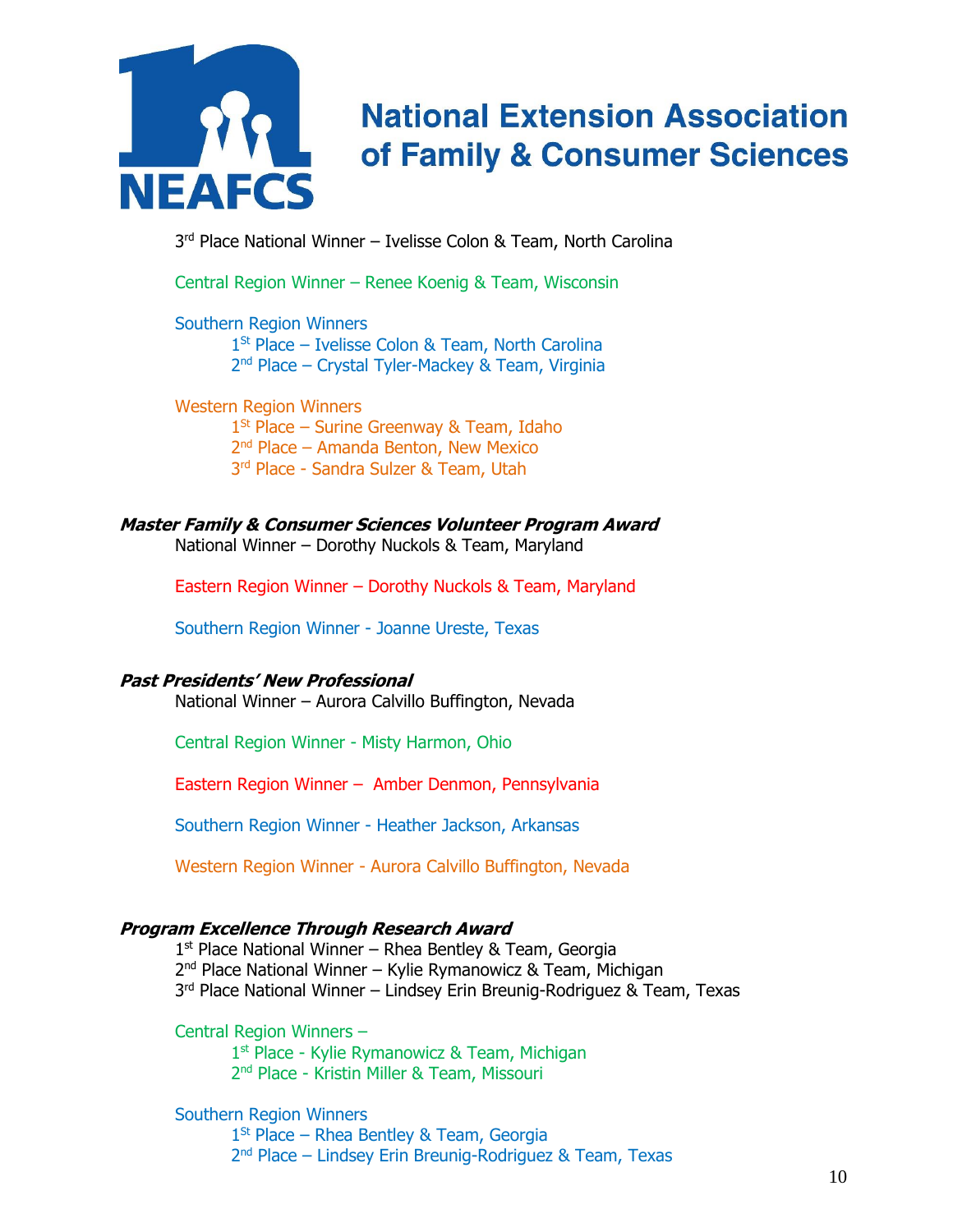

3 rd Place National Winner – Ivelisse Colon & Team, North Carolina

Central Region Winner – Renee Koenig & Team, Wisconsin

Southern Region Winners 1 St Place – Ivelisse Colon & Team, North Carolina 2<sup>nd</sup> Place – Crystal Tyler-Mackey & Team, Virginia

Western Region Winners 1<sup>St</sup> Place – Surine Greenway & Team, Idaho 2 nd Place – Amanda Benton, New Mexico 3 rd Place - Sandra Sulzer & Team, Utah

## **Master Family & Consumer Sciences Volunteer Program Award**

National Winner – Dorothy Nuckols & Team, Maryland

Eastern Region Winner – Dorothy Nuckols & Team, Maryland

Southern Region Winner - Joanne Ureste, Texas

### **Past Presidents' New Professional**

National Winner – Aurora Calvillo Buffington, Nevada

Central Region Winner - Misty Harmon, Ohio

Eastern Region Winner – Amber Denmon, Pennsylvania

Southern Region Winner - Heather Jackson, Arkansas

Western Region Winner - Aurora Calvillo Buffington, Nevada

### **Program Excellence Through Research Award**

1 st Place National Winner – Rhea Bentley & Team, Georgia

2<sup>nd</sup> Place National Winner – Kylie Rymanowicz & Team, Michigan

3<sup>rd</sup> Place National Winner – Lindsey Erin Breunig-Rodriguez & Team, Texas

Central Region Winners –

1 st Place - Kylie Rymanowicz & Team, Michigan

2 nd Place - Kristin Miller & Team, Missouri

Southern Region Winners

1<sup>St</sup> Place – Rhea Bentley & Team, Georgia 2<sup>nd</sup> Place – Lindsey Erin Breunig-Rodriguez & Team, Texas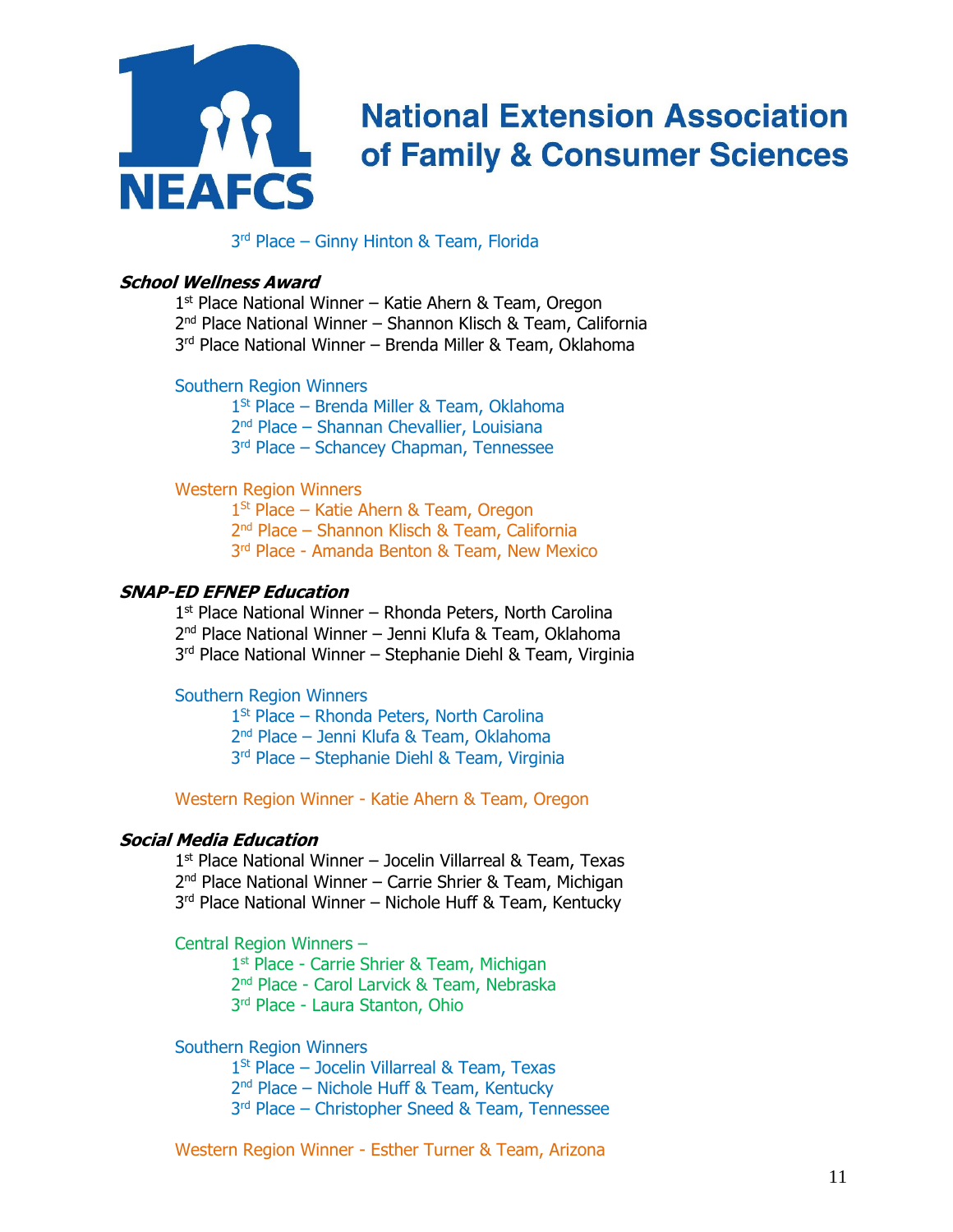

3 rd Place – Ginny Hinton & Team, Florida

### **School Wellness Award**

1<sup>st</sup> Place National Winner - Katie Ahern & Team, Oregon 2<sup>nd</sup> Place National Winner – Shannon Klisch & Team, California 3 rd Place National Winner – Brenda Miller & Team, Oklahoma

#### Southern Region Winners

1<sup>St</sup> Place – Brenda Miller & Team, Oklahoma 2 nd Place – Shannan Chevallier, Louisiana 3 rd Place – Schancey Chapman, Tennessee

#### Western Region Winners

1<sup>St</sup> Place – Katie Ahern & Team, Oregon 2 nd Place – Shannon Klisch & Team, California 3 rd Place - Amanda Benton & Team, New Mexico

#### **SNAP-ED EFNEP Education**

1 st Place National Winner – Rhonda Peters, North Carolina 2 nd Place National Winner – Jenni Klufa & Team, Oklahoma 3 rd Place National Winner – Stephanie Diehl & Team, Virginia

#### Southern Region Winners

1<sup>St</sup> Place – Rhonda Peters, North Carolina 2 nd Place – Jenni Klufa & Team, Oklahoma 3 rd Place – Stephanie Diehl & Team, Virginia

Western Region Winner - Katie Ahern & Team, Oregon

### **Social Media Education**

1<sup>st</sup> Place National Winner - Jocelin Villarreal & Team, Texas 2<sup>nd</sup> Place National Winner – Carrie Shrier & Team, Michigan 3<sup>rd</sup> Place National Winner – Nichole Huff & Team, Kentucky

Central Region Winners –

1<sup>st</sup> Place - Carrie Shrier & Team, Michigan 2 nd Place - Carol Larvick & Team, Nebraska 3 rd Place - Laura Stanton, Ohio

Southern Region Winners

1<sup>St</sup> Place - Jocelin Villarreal & Team, Texas 2 nd Place – Nichole Huff & Team, Kentucky 3 rd Place – Christopher Sneed & Team, Tennessee

Western Region Winner - Esther Turner & Team, Arizona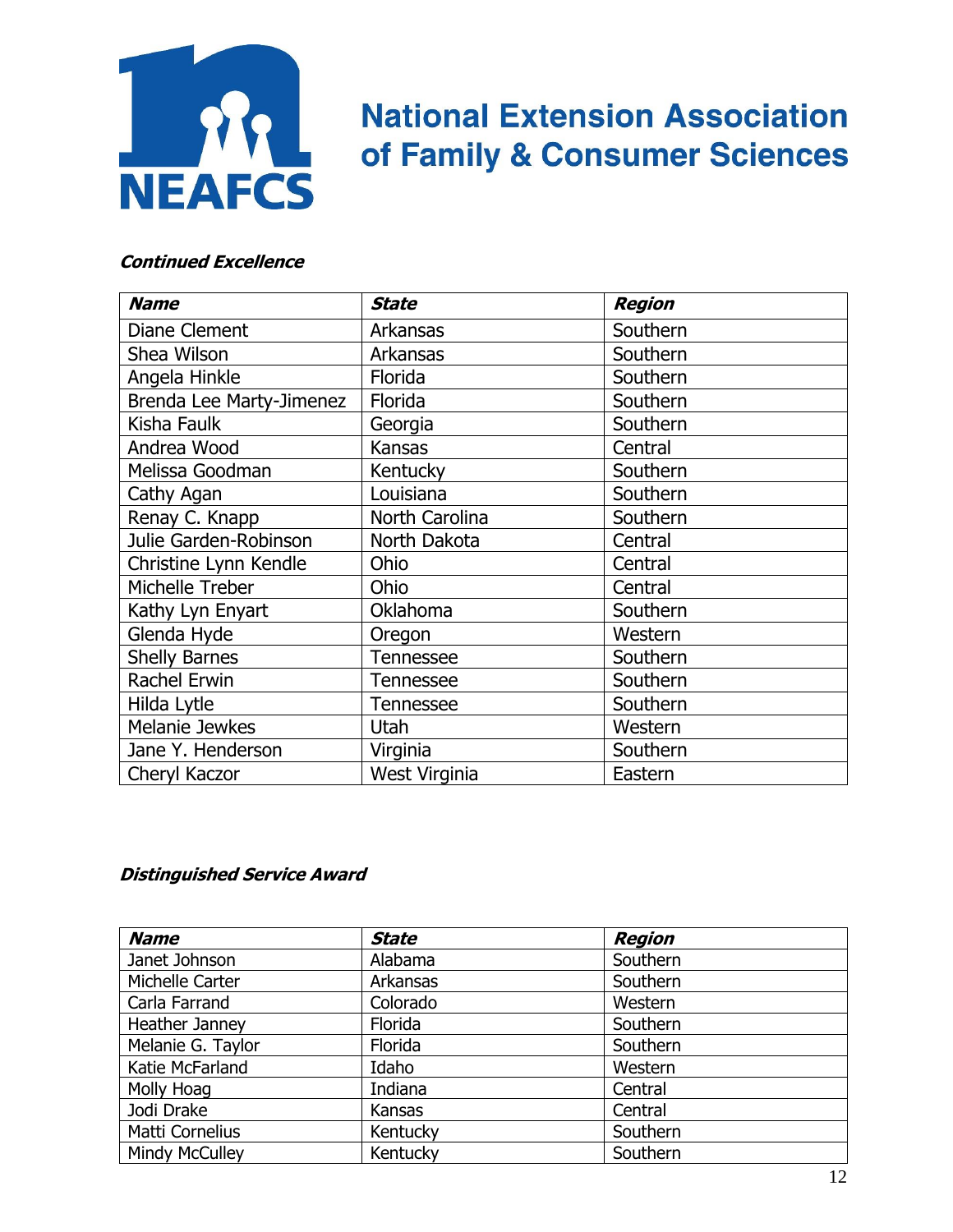

### **Continued Excellence**

| <b>Name</b>              | <b>State</b>     | <b>Region</b> |
|--------------------------|------------------|---------------|
| <b>Diane Clement</b>     | Arkansas         | Southern      |
| Shea Wilson              | Arkansas         | Southern      |
| Angela Hinkle            | Florida          | Southern      |
| Brenda Lee Marty-Jimenez | Florida          | Southern      |
| Kisha Faulk              | Georgia          | Southern      |
| Andrea Wood              | <b>Kansas</b>    | Central       |
| Melissa Goodman          | Kentucky         | Southern      |
| Cathy Agan               | Louisiana        | Southern      |
| Renay C. Knapp           | North Carolina   | Southern      |
| Julie Garden-Robinson    | North Dakota     | Central       |
| Christine Lynn Kendle    | Ohio             | Central       |
| Michelle Treber          | Ohio             | Central       |
| Kathy Lyn Enyart         | Oklahoma         | Southern      |
| Glenda Hyde              | Oregon           | Western       |
| <b>Shelly Barnes</b>     | <b>Tennessee</b> | Southern      |
| Rachel Erwin             | Tennessee        | Southern      |
| Hilda Lytle              | <b>Tennessee</b> | Southern      |
| Melanie Jewkes           | <b>Utah</b>      | Western       |
| Jane Y. Henderson        | Virginia         | Southern      |
| Cheryl Kaczor            | West Virginia    | Eastern       |

## **Distinguished Service Award**

| <b>Name</b>           | <b>State</b> | <b>Region</b> |
|-----------------------|--------------|---------------|
| Janet Johnson         | Alabama      | Southern      |
| Michelle Carter       | Arkansas     | Southern      |
| Carla Farrand         | Colorado     | Western       |
| Heather Janney        | Florida      | Southern      |
| Melanie G. Taylor     | Florida      | Southern      |
| Katie McFarland       | Idaho        | Western       |
| Molly Hoag            | Indiana      | Central       |
| Jodi Drake            | Kansas       | Central       |
| Matti Cornelius       | Kentucky     | Southern      |
| <b>Mindy McCulley</b> | Kentucky     | Southern      |